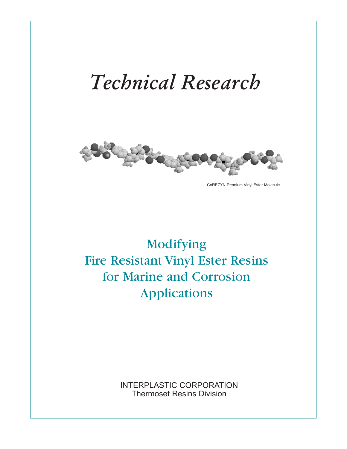# *Technical Research*



CoREZYN Premium Vinyl Ester Molecule

## Modifying Fire Resistant Vinyl Ester Resins for Marine and Corrosion Applications

INTERPLASTIC CORPORATION Thermoset Resins Division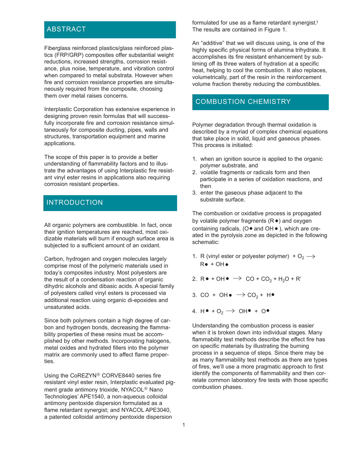#### ABSTRACT

Fiberglass reinforced plastics/glass reinforced plastics (FRP/GRP) composites offer substantial weight reductions, increased strengths, corrosion resistance, plus noise, temperature, and vibration control when compared to metal substrata. However when fire and corrosion resistance properties are simultaneously required from the composite, choosing them over metal raises concerns.

Interplastic Corporation has extensive experience in designing proven resin formulas that will successfully incorporate fire and corrosion resistance simultaneously for composite ducting, pipes, walls and structures, transportation equipment and marine applications.

The scope of this paper is to provide a better understanding of flammability factors and to illustrate the advantages of using Interplastic fire resistant vinyl ester resins in applications also requiring corrosion resistant properties.

#### INTRODUCTION

All organic polymers are combustible. In fact, once their ignition temperatures are reached, most oxidizable materials will burn if enough surface area is subjected to a sufficient amount of an oxidant.

Carbon, hydrogen and oxygen molecules largely comprise most of the polymeric materials used in today's composites industry. Most polyesters are the result of a condensation reaction of organic dihydric alcohols and dibasic acids. A special family of polyesters called vinyl esters is processed via additional reaction using organic di-epoxides and unsaturated acids.

Since both polymers contain a high degree of carbon and hydrogen bonds, decreasing the flammability properties of these resins must be accomplished by other methods. Incorporating halogens, metal oxides and hydrated fillers into the polymer matrix are commonly used to affect flame properties.

Using the CoREZYN<sup>®</sup> CORVE8440 series fire resistant vinyl ester resin, Interplastic evaluated pigment grade antimony trioxide, NYACOL<sup>®</sup> Nano Technologies' APE1540, a non-aqueous colloidal antimony pentoxide dispersion formulated as a flame retardant synergist; and NYACOL APE3040, a patented colloidal antimony pentoxide dispersion

formulated for use as a flame retardant synergist.<sup>1</sup> The results are contained in Figure 1.

An "additive" that we will discuss using, is one of the highly specific physical forms of alumina trihydrate. It accomplishes its fire resistant enhancement by subliming off its three waters of hydration at a specific heat, helping to cool the combustion. It also replaces, volumetrically, part of the resin in the reinforcement volume fraction thereby reducing the combustibles.

#### COMBUSTION CHEMISTRY

Polymer degradation through thermal oxidation is described by a myriad of complex chemical equations that take place in solid, liquid and gaseous phases. This process is initiated:

- 1. when an ignition source is applied to the organic polymer substrate, and
- 2. volatile fragments or radicals form and then participate in a series of oxidation reactions, and then
- 3. enter the gaseous phase adjacent to the substrate surface.

The combustion or oxidative process is propagated by volatile polymer fragments  $(R \bullet)$  and oxygen containing radicals, ( $O \bullet$  and  $OH \bullet$ ), which are created in the pyrolysis zone as depicted in the following schematic:

- 1. R (vinyl ester or polyester polymer) +  $O_2 \rightarrow$  $R + OH +$
- 2.  $R \bullet + \text{OH} \bullet \rightarrow \text{CO} + \text{CO}_2 + \text{H}_2\text{O} + \text{R}'$
- 3. CO + OH  $\bullet \rightarrow$  CO<sub>2</sub> + H
- 4. H  $\bullet$  + O<sub>2</sub>  $\rightarrow$  OH  $\bullet$  + O

Understanding the combustion process is easier when it is broken down into individual stages. Many flammability test methods describe the effect fire has on specific materials by illustrating the burning process in a sequence of steps. Since there may be as many flammability test methods as there are types of fires, we'll use a more pragmatic approach to first identify the components of flammability and then correlate common laboratory fire tests with those specific combustion phases.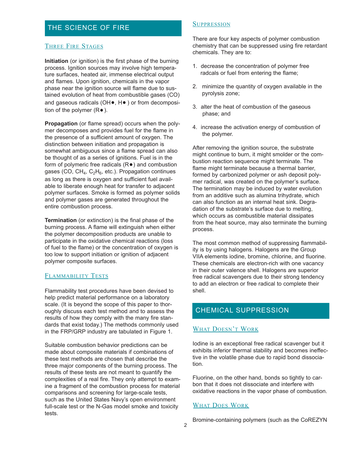## THE SCIENCE OF FIRE

#### THREE FIRE STAGES

**Initiation** (or ignition) is the first phase of the burning process. Ignition sources may involve high temperature surfaces, heated air, immense electrical output and flames. Upon ignition, chemicals in the vapor phase near the ignition source will flame due to sustained evolution of heat from combustible gases (CO) and gaseous radicals ( $OH\bullet$ ,  $H\bullet$ ) or from decomposition of the polymer  $(R<sup>o</sup>)$ .

**Propagation** (or flame spread) occurs when the polymer decomposes and provides fuel for the flame in the presence of a sufficient amount of oxygen. The distinction between initiation and propagation is somewhat ambiguous since a flame spread can also be thought of as a series of ignitions. Fuel is in the form of polymeric free radicals  $(R<sup>o</sup>)$  and combustion gases (CO,  $CH_4$ ,  $C_2H_6$ , etc.). Propagation continues as long as there is oxygen and sufficient fuel available to liberate enough heat for transfer to adjacent polymer surfaces. Smoke is formed as polymer solids and polymer gases are generated throughout the entire combustion process.

**Termination** (or extinction) is the final phase of the burning process. A flame will extinguish when either the polymer decomposition products are unable to participate in the oxidative chemical reactions (loss of fuel to the flame) or the concentration of oxygen is too low to support initiation or ignition of adjacent polymer composite surfaces.

#### FLAMMABILITY TESTS

Flammability test procedures have been devised to help predict material performance on a laboratory scale. (It is beyond the scope of this paper to thoroughly discuss each test method and to assess the results of how they comply with the many fire standards that exist today.) The methods commonly used in the FRP/GRP industry are tabulated in Figure 1.

Suitable combustion behavior predictions can be made about composite materials if combinations of these test methods are chosen that describe the three major components of the burning process. The results of these tests are not meant to quantify the complexities of a real fire. They only attempt to examine a fragment of the combustion process for material comparisons and screening for large-scale tests, such as the United States Navy's open environment full-scale test or the N-Gas model smoke and toxicity tests.

#### **SUPPRESSION**

There are four key aspects of polymer combustion chemistry that can be suppressed using fire retardant chemicals. They are to:

- 1. decrease the concentration of polymer free radcals or fuel from entering the flame;
- 2. minimize the quantity of oxygen available in the pyrolysis zone;
- 3. alter the heat of combustion of the gaseous phase; and
- 4. increase the activation energy of combustion of the polymer.

After removing the ignition source, the substrate might continue to burn, it might smolder or the combustion reaction sequence might terminate. The flame might terminate because a thermal barrier, formed by carbonized polymer or ash deposit polymer radical, was created on the polymer's surface. The termination may be induced by water evolution from an additive such as alumina trihydrate, which can also function as an internal heat sink. Degradation of the substrate's surface due to melting, which occurs as combustible material dissipates from the heat source, may also terminate the burning process.

The most common method of suppressing flammability is by using halogens. Halogens are the Group VIIA elements iodine, bromine, chlorine, and fluorine. These chemicals are electron-rich with one vacancy in their outer valence shell. Halogens are superior free radical scavengers due to their strong tendency to add an electron or free radical to complete their shell.

#### CHEMICAL SUPPRESSION

#### WHAT DOESN'T WORK

Iodine is an exceptional free radical scavenger but it exhibits inferior thermal stability and becomes ineffective in the volatile phase due to rapid bond dissociation.

Fluorine, on the other hand, bonds so tightly to carbon that it does not dissociate and interfere with oxidative reactions in the vapor phase of combustion.

#### WHAT DOES WORK

Bromine-containing polymers (such as the CoREZYN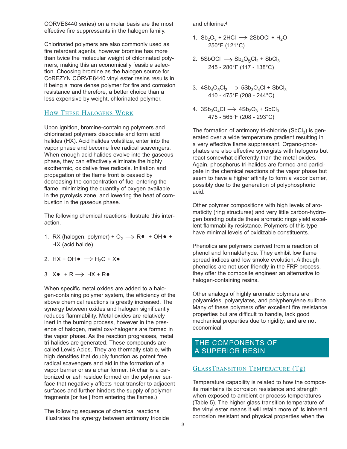CORVE8440 series) on a molar basis are the most effective fire suppressants in the halogen family.

Chlorinated polymers are also commonly used as fire retardant agents, however bromine has more than twice the molecular weight of chlorinated polymers, making this an economically feasible selection. Choosing bromine as the halogen source for CoREZYN CORVE8440 vinyl ester resins results in it being a more dense polymer for fire and corrosion resistance and therefore, a better choice than a less expensive by weight, chlorinated polymer.

#### HOW THESE HALOGENS WORK

Upon ignition, bromine-containing polymers and chlorinated polymers dissociate and form acid halides (HX). Acid halides volatilize, enter into the vapor phase and become free radical scavengers. When enough acid halides evolve into the gaseous phase, they can effectively eliminate the highly exothermic, oxidative free radicals. Initiation and propagation of the flame front is ceased by decreasing the concentration of fuel entering the flame, minimizing the quantity of oxygen available in the pyrolysis zone, and lowering the heat of combustion in the gaseous phase.

The following chemical reactions illustrate this interaction.

- 1. RX (halogen, polymer) +  $O_2 \rightarrow \mathbb{R}$  + OH  $\bullet$  + HX (acid halide)
- 2.  $HX + OH \bullet \rightarrow H_2O + X \bullet$
- 3.  $X \bullet + R \rightarrow HX + R \bullet$

When specific metal oxides are added to a halogen-containing polymer system, the efficiency of the above chemical reactions is greatly increased. The synergy between oxides and halogen significantly reduces flammability. Metal oxides are relatively inert in the burning process, however in the presence of halogen, metal oxy-halogens are formed in the vapor phase. As the reaction progresses, metal tri-halides are generated. These compounds are called Lewis Acids. They are thermally stable, with high densities that doubly function as potent free radical scavengers and aid in the formation of a vapor barrier or as a char former. (A char is a carbonized or ash residue formed on the polymer surface that negatively affects heat transfer to adjacent surfaces and further hinders the supply of polymer fragments [or fuel] from entering the flames.)

The following sequence of chemical reactions illustrates the synergy between antimony trioxide and chlorine.4

- 1.  $Sb_2O_3$  + 2HCl  $\rightarrow$  2SbOCl + H<sub>2</sub>O 250°F (121°C)
- 2. 5SbOCl  $\longrightarrow$  Sb<sub>4</sub>O<sub>5</sub>Cl<sub>2</sub> + SbCl<sub>3</sub> 245 - 280°F (117 - 138°C)
- 3.  $4Sb_4O_5Cl_2 \longrightarrow 5Sb_3O_4Cl + SbCl_3$ 410 - 475°F (208 - 244°C)
- 4.  $3Sb_3O_4Cl \rightarrow 4Sb_2O_3 + SbCl_3$ 475 - 565°F (208 - 293°C)

The formation of antimony tri-chloride  $(SbCl<sub>3</sub>)$  is generated over a wide temperature gradient resulting in a very effective flame suppressant. Organo-phosphates are also effective synergists with halogens but react somewhat differently than the metal oxides. Again, phosphorus tri-halides are formed and participate in the chemical reactions of the vapor phase but seem to have a higher affinity to form a vapor barrier, possibly due to the generation of polyphosphoric acid.

Other polymer compositions with high levels of aromaticity (ring structures) and very little carbon-hydrogen bonding outside these aromatic rings yield excellent flammability resistance. Polymers of this type have minimal levels of oxidizable constituents.

Phenolics are polymers derived from a reaction of phenol and formaldehyde. They exhibit low flame spread indices and low smoke evolution. Although phenolics are not user-friendly in the FRP process, they offer the composite engineer an alternative to halogen-containing resins.

Other analogs of highly aromatic polymers are polyamides, polyarylates, and polyphenylene sulfone. Many of these polymers offer excellent fire resistance properties but are difficult to handle, lack good mechanical properties due to rigidity, and are not economical.

#### THE COMPONENTS OF A SUPERIOR RESIN

#### GLASSTRANSITION TEMPERATURE (Tg)

Temperature capability is related to how the composite maintains its corrosion resistance and strength when exposed to ambient or process temperatures (Table 5). The higher glass transition temperature of the vinyl ester means it will retain more of its inherent corrosion resistant and physical properties when the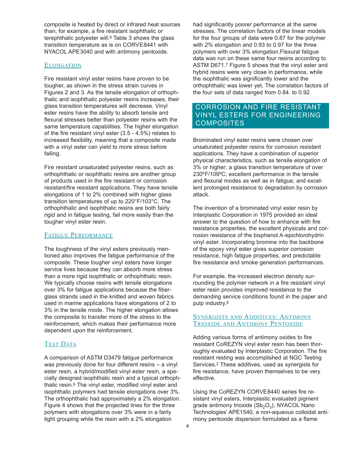composite is heated by direct or infrared heat sources than, for example, a fire resistant isophthalic or terephthalic polyester will.<sup>8</sup> Table 3 shows the glass transition temperature as is on CORVE8441 with NYACOL APE3040 and with antimony pentoxide.

#### **ELONGATION**

Fire resistant vinyl ester resins have proven to be tougher, as shown in the stress strain curves in Figures 2 and 3. As the tensile elongation of orthophthalic and isophthalic polyester resins increases, their glass transition temperatures will decrease. Vinyl ester resins have the ability to absorb tensile and flexural stresses better than polyester resins with the same temperature capabilities. The higher elongation of the fire resistant vinyl ester (3.5 - 4.5%) relates to increased flexibility, meaning that a composite made with a vinyl ester can yield to more stress before failing.

Fire resistant unsaturated polyester resins, such as orthophthalic or isophthalic resins are another group of products used in the fire resistant or corrosion resistant/fire resistant applications. They have tensile elongations of 1 to 2% combined with higher glass transition temperatures of up to 220°F/103°C. The orthophthalic and isophthalic resins are both fairly rigid and in fatigue testing, fail more easily than the tougher vinyl ester resin.

#### FATIGUE PERFORMANCE

The toughness of the vinyl esters previously mentioned also improves the fatigue performance of the composite. These tougher vinyl esters have longer service lives because they can absorb more stress than a more rigid isophthalic or orthophthalic resin. We typically choose resins with tensile elongations over 3% for fatigue applications because the fiberglass strands used in the knitted and woven fabrics used in marine applications have elongations of 2 to 3% in the tensile mode. The higher elongation allows the composite to transfer more of the stress to the reinforcement, which makes their performance more dependent upon the reinforcement.

#### TEST DATA

A comparison of ASTM D3479 fatigue performance was previously done for four different resins – a vinyl ester resin, a hybrid/modified vinyl ester resin, a specially designed isophthalic resin and a typical orthophthalic resin.6 The vinyl ester, modified vinyl ester and isophthalic polymers had tensile elongations over 3%. The orthophthalic had approximately a 2% elongation. Figure 4 shows that the projected lines for the three polymers with elongations over 3% were in a fairly tight grouping while the resin with a 2% elongation

had significantly poorer performance at the same stresses. The correlation factors of the linear models for the four groups of data were 0.87 for the polymer with 2% elongation and 0.93 to 0.97 for the three polymers with over 3% elongation.Flexural fatigue data was run on these same four resins according to ASTM D671.7 Figure 5 shows that the vinyl ester and hybrid resins were very close in performance, while the isophthalic was significantly lower and the orthophthalic was lower yet. The correlation factors of the four sets of data ranged from 0.84. to 0.92.

#### CORROSION AND FIRE RESISTANT VINYL ESTERS FOR ENGINEERING **COMPOSITES**

Brominated vinyl ester resins were chosen over unsaturated polyester resins for corrosion resistant applications. They have a combination of superior physical characteristics, such as tensile elongation of 3% or higher; a glass transition temperature of over 230ºF/109ºC; excellent performance in the tensile and flexural modes as well as in fatigue; and excellent prolonged resistance to degradation by corrosion attack.

The invention of a brominated vinyl ester resin by Interplastic Corporation in 1975 provided an ideal answer to the question of how to enhance with fire resistance properties, the excellent physicals and corrosion resistance of the bisphenol A-epichlorohydrin vinyl ester. Incorporating bromine into the backbone of the epoxy vinyl ester gives superior corrosion resistance, high fatigue properties, and predictable fire resistance and smoke generation performances.

For example, the increased electron density surrounding the polymer network in a fire resistant vinyl ester resin provides improved resistance to the demanding service conditions found in the paper and pulp industry.8

#### SYNERGISTS AND ADDITIVES: ANTIMONY TRIOXIDE AND ANTIMONY PENTOXIDE

Adding various forms of antimony oxides to fire resistant CoREZYN vinyl ester resin has been thoroughly evaluated by Interplastic Corporation. The fire resistant resting was accomplished at NGC Testing Services.2 These additives, used as synergists for fire resistance, have proven themselves to be very effective.

Using the CoREZYN CORVE8440 series fire resistant vinyl esters, Interplastic evaluated pigment grade antimony trioxide ( $Sb<sub>2</sub>O<sub>3</sub>$ ); NYACOL Nano Technologies' APE1540, a non-aqueous colloidal antimony pentoxide dispersion formulated as a flame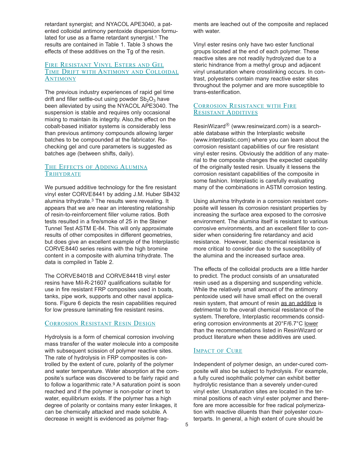retardant synergist; and NYACOL APE3040, a patented colloidal antimony pentoxide dispersion formulated for use as a flame retardant synergist.<sup>1</sup> The results are contained in Table 1. Table 3 shows the effects of these additives on the Tg of the resin.

#### FIRE RESISTANT VINYL ESTERS AND GEL TIME DRIFT WITH ANTIMONY AND COLLOIDAL **ANTIMONY**

The previous industry experiences of rapid gel time drift and filler settle-out using powder  $Sb<sub>2</sub>O<sub>3</sub>$  have been alleviated by using the NYACOL APE3040. The suspension is stable and requires only occasional mixing to maintain its integrity. Also,the effect on the cobalt-based initiator systems is considerably less than previous antimony compounds allowing larger batches to be compounded at the fabricator. Rechecking gel and cure parameters is suggested as batches age (between shifts, daily).

#### THE EFFECTS OF ADDING ALUMINA **TRIHYDRATE**

We pursued additive technology for the fire resistant vinyl ester CORVE8441 by adding J.M. Huber SB432 alumina trihydrate.3 The results were revealing. It appears that we are near an interesting relationship of resin-to-reinforcement filler volume ratios. Both tests resulted in a fire/smoke of 25 in the Steiner Tunnel Test ASTM E-84. This will only approximate results of other composites in different geometries, but does give an excellent example of the Interplastic CORVE8440 series resins with the high bromine content in a composite with alumina trihydrate. The data is compiled in Table 2.

The CORVE8401B and CORVE8441B vinyl ester resins have Mil-R-21607 qualifications suitable for use in fire resistant FRP composites used in boats, tanks, pipe work, supports and other naval applications. Figure 6 depicts the resin capabilities required for low pressure laminating fire resistant resins.

#### CORROSION RESISTANT RESIN DESIGN

Hydrolysis is a form of chemical corrosion involving mass transfer of the water molecule into a composite with subsequent scission of polymer reactive sites. The rate of hydrolysis in FRP composites is controlled by the extent of cure, polarity of the polymer and water temperature. Water absorption at the composite's surface was discovered to be fairly rapid and to follow a logarithmic rate.<sup>9</sup> A saturation point is soon reached and if the polymer is non-polar or inert to water, equilibrium exists. If the polymer has a high degree of polarity or contains many ester linkages, it can be chemically attacked and made soluble. A decrease in weight is evidenced as polymer fragments are leached out of the composite and replaced with water.

Vinyl ester resins only have two ester functional groups located at the end of each polymer. These reactive sites are not readily hydrolyzed due to a steric hindrance from a methyl group and adjacent vinyl unsaturation where crosslinking occurs. In contrast, polyesters contain many reactive ester sites throughout the polymer and are more susceptible to trans-esterification.

#### CORROSION RESISTANCE WITH FIRE RESISTANT ADDITIVES

ResinWizard $^{\circledR}$  (www.resinwizard.com) is a searchable database within the Interplastic website (www.interplastic.com) where you can learn about the corrosion resistant capabilities of our fire resistant vinyl ester resins. Obviously the addition of any material to the composite changes the expected capability of the originally tested resin. Usually it lessens the corrosion resistant capabilities of the composite in some fashion. Interplastic is carefully evaluating many of the combinations in ASTM corrosion testing.

Using alumina trihydrate in a corrosion resistant composite will lessen its corrosion resistant properties by increasing the surface area exposed to the corrosive environment. The alumina itself is resistant to various corrosive environments, and an excellent filler to consider when considering fire retardancy and acid resistance. However, basic chemical resistance is more critical to consider due to the susceptibility of the alumina and the increased surface area.

The effects of the colloidal products are a little harder to predict. The product consists of an unsaturated resin used as a dispersing and suspending vehicle. While the relatively small amount of the antimony pentoxide used will have small effect on the overall resin system, that amount of resin as an additive is detrimental to the overall chemical resistance of the system. Therefore, Interplastic recommends considering corrosion environments at 20°F/6.7°C lower than the recommendations listed in ResinWizard or product literature when these additives are used.

#### IMPACT OF CURE

Independent of polymer design, an under-cured composite will also be subject to hydrolysis. For example, a fully cured isophthalic polymer can exhibit better hydrolytic resistance than a severely under-cured vinyl ester. Unsaturation sites are located in the terminal positions of each vinyl ester polymer and therefore are more accessible for free radical polymerization with reactive diluents than their polyester counterparts. In general, a high extent of cure should be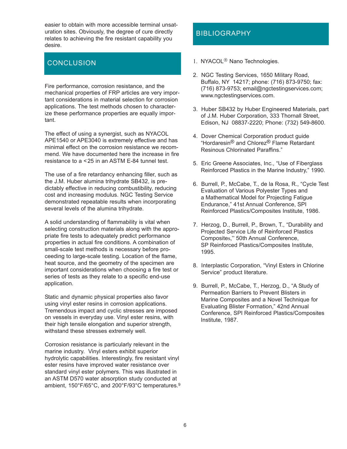easier to obtain with more accessible terminal unsaturation sites. Obviously, the degree of cure directly relates to achieving the fire resistant capability you desire.

## **CONCLUSION**

Fire performance, corrosion resistance, and the mechanical properties of FRP articles are very important considerations in material selection for corrosion applications. The test methods chosen to characterize these performance properties are equally important.

The effect of using a synergist, such as NYACOL APE1540 or APE3040 is extremely effective and has minimal effect on the corrosion resistance we recommend. We have documented here the increase in fire resistance to a <25 in an ASTM E-84 tunnel test.

The use of a fire retardancy enhancing filler, such as the J.M. Huber alumina trihydrate SB432, is predictably effective in reducing combustibility, reducing cost and increasing modulus. NGC Testing Service demonstrated repeatable results when incorporating several levels of the alumina trihydrate.

A solid understanding of flammability is vital when selecting construction materials along with the appropriate fire tests to adequately predict performance properties in actual fire conditions. A combination of small-scale test methods is necessary before proceeding to large-scale testing. Location of the flame, heat source, and the geometry of the specimen are important considerations when choosing a fire test or series of tests as they relate to a specific end-use application.

Static and dynamic physical properties also favor using vinyl ester resins in corrosion applications. Tremendous impact and cyclic stresses are imposed on vessels in everyday use. Vinyl ester resins, with their high tensile elongation and superior strength, withstand these stresses extremely well.

Corrosion resistance is particularly relevant in the marine industry. Vinyl esters exhibit superior hydrolytic capabilities. Interestingly, fire resistant vinyl ester resins have improved water resistance over standard vinyl ester polymers. This was illustrated in an ASTM D570 water absorption study conducted at ambient, 150°F/65°C, and 200°F/93°C temperatures.9

## **BIBLIOGRAPHY**

- 1. NYACOL<sup>®</sup> Nano Technologies.
- 2. NGC Testing Services, 1650 Military Road, Buffalo, NY 14217; phone: (716) 873-9750; fax: (716) 873-9753; email@ngctestingservices.com; www.ngctestingservices.com.
- 3. Huber SB432 by Huber Engineered Materials, part of J.M. Huber Corporation, 333 Thornall Street, Edison, NJ 08837-2220; Phone: (732) 549-8600.
- 4. Dover Chemical Corporation product guide "Hordaresin® and Chlorez® Flame Retardant Resinous Chlorinated Paraffins."
- 5. Eric Greene Associates, Inc., "Use of Fiberglass Reinforced Plastics in the Marine Industry," 1990.
- 6. Burrell, P., McCabe, T., de la Rosa, R., "Cycle Test Evaluation of Various Polyester Types and a Mathematical Model for Projecting Fatigue Endurance," 41st Annual Conference, SPI Reinforced Plastics/Composites Institute, 1986.
- 7. Herzog, D., Burrell, P., Brown, T., "Durability and Projected Service Life of Reinforced Plastics Composites," 50th Annual Conference, SP Reinforced Plastics/Composites Institute, 1995.
- 8. Interplastic Corporation, "Vinyl Esters in Chlorine Service" product literature.
- 9. Burrell, P., McCabe, T., Herzog, D., "A Study of Permeation Barriers to Prevent Blisters in Marine Composites and a Novel Technique for Evaluating Blister Formation," 42nd Annual Conference, SPI Reinforced Plastics/Composites Institute, 1987.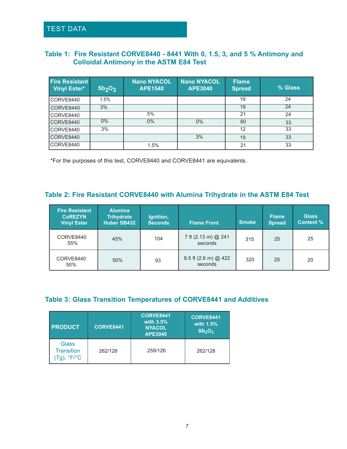## TEST DATA

#### **Table 1: Fire Resistant CORVE8440 - 8441 With 0, 1.5, 3, and 5 % Antimony and Colloidal Antimony in the ASTM E84 Test**

| <b>Fire Resistant</b><br><b>Vinyl Ester*</b> | Sb <sub>2</sub> O <sub>3</sub> | <b>Nano NYACOL</b><br><b>APE1540</b> | <b>Nano NYACOL</b><br><b>APE3040</b> | <b>Flame</b><br><b>Spread</b> | % Glass |
|----------------------------------------------|--------------------------------|--------------------------------------|--------------------------------------|-------------------------------|---------|
| CORVE8440                                    | 1.5%                           |                                      |                                      | 19                            | 24      |
| CORVE8440                                    | 3%                             |                                      |                                      | 19                            | 24      |
| CORVE8440                                    |                                | 5%                                   |                                      | 21                            | 24      |
| CORVE8440                                    | $0\%$                          | $0\%$                                | $0\%$                                | 60                            | 33      |
| CORVE8440                                    | 3%                             |                                      |                                      | 12                            | 33      |
| CORVE8440                                    |                                |                                      | 3%                                   | 19                            | 33      |
| CORVE8440                                    |                                | 1.5%                                 |                                      | 21                            | 33      |

\*For the purposes of this test, CORVE8440 and CORVE8441 are equivalents.

#### **Table 2: Fire Resistant CORVE8440 with Alumina Trihydrate in the ASTM E84 Test**

| <b>Fire Resistant</b><br><b>COREZYN</b><br><b>Vinyl Ester</b> | <b>Alumina</b><br><b>Trihydrate</b><br>Huber SB432 | Ignition,<br><b>Seconds</b> | <b>Flame Front</b>              | <b>Smoke</b> | <b>Flame</b><br><b>Spread</b> | <b>Glass</b><br><b>Content %</b> |
|---------------------------------------------------------------|----------------------------------------------------|-----------------------------|---------------------------------|--------------|-------------------------------|----------------------------------|
| CORVE8440<br>55%                                              | 45%                                                | 104                         | 7 ft (2.13 m) @ 241<br>seconds  | 315          | 25                            | 25                               |
| CORVE8440<br>50%                                              | 50%                                                | 93                          | 8.5 ft (2.6 m) @ 422<br>seconds | 320          | 25                            | 20                               |

#### **Table 3: Glass Transition Temperatures of CORVE8441 and Additives**

| <b>PRODUCT</b>                                                   | <b>CORVE8441</b> | <b>CORVE8441</b><br>with $3.5%$<br><b>NYACOL</b><br><b>APE3040</b> | <b>CORVE8441</b><br>with 1.5%<br>Sb <sub>2</sub> O <sub>3</sub> |
|------------------------------------------------------------------|------------------|--------------------------------------------------------------------|-----------------------------------------------------------------|
| Glass<br><b>Transition</b><br>$(Tg)$ , ${}^{\circ}F/{}^{\circ}C$ | 262/128          | 259/126                                                            | 262/128                                                         |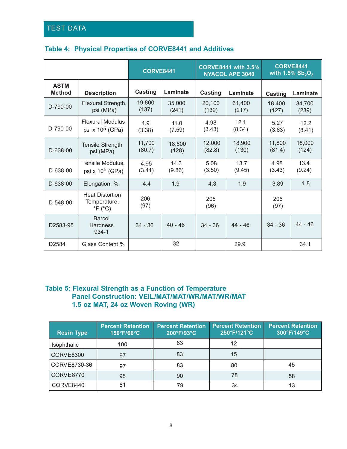## TEST DATA

### **Table 4: Physical Properties of CORVE8441 and Additives**

|                              |                                                                      | <b>CORVE8441</b> |                 | <b>CORVE8441 with 3.5%</b><br><b>NYACOL APE 3040</b> |                 | <b>CORVE8441</b><br>with 1.5% $Sb_2O_3$ |                 |
|------------------------------|----------------------------------------------------------------------|------------------|-----------------|------------------------------------------------------|-----------------|-----------------------------------------|-----------------|
| <b>ASTM</b><br><b>Method</b> | <b>Description</b>                                                   | Casting          | Laminate        | Casting                                              | Laminate        | Casting                                 | Laminate        |
| D-790-00                     | Flexural Strength,<br>psi (MPa)                                      | 19,800<br>(137)  | 35,000<br>(241) | 20,100<br>(139)                                      | 31,400<br>(217) | 18,400<br>(127)                         | 34,700<br>(239) |
| D-790-00                     | <b>Flexural Modulus</b><br>psi x $10^5$ (GPa)                        | 4.9<br>(3.38)    | 11.0<br>(7.59)  | 4.98<br>(3.43)                                       | 12.1<br>(8.34)  | 5.27<br>(3.63)                          | 12.2<br>(8.41)  |
| $D - 638 - 00$               | Tensile Strength<br>psi (MPa)                                        | 11,700<br>(80.7) | 18,600<br>(128) | 12,000<br>(82.8)                                     | 18,900<br>(130) | 11,800<br>(81.4)                        | 18,000<br>(124) |
| D-638-00                     | Tensile Modulus,<br>psi x $10^5$ (GPa)                               | 4.95<br>(3.41)   | 14.3<br>(9.86)  | 5.08<br>(3.50)                                       | 13.7<br>(9.45)  | 4.98<br>(3.43)                          | 13.4<br>(9.24)  |
| D-638-00                     | Elongation, %                                                        | 4.4              | 1.9             | 4.3                                                  | 1.9             | 3.89                                    | 1.8             |
| D-548-00                     | <b>Heat Distortion</b><br>Temperature,<br>$\degree$ F ( $\degree$ C) | 206<br>(97)      |                 | 205<br>(96)                                          |                 | 206<br>(97)                             |                 |
| D2583-95                     | <b>Barcol</b><br><b>Hardness</b><br>$934 - 1$                        | $34 - 36$        | $40 - 46$       | $34 - 36$                                            | $44 - 46$       | $34 - 36$                               | $44 - 46$       |
| D2584                        | Glass Content %                                                      |                  | 32              |                                                      | 29.9            |                                         | 34.1            |

#### **Table 5: Flexural Strength as a Function of Temperature Panel Construction: VEIL/MAT/MAT/WR/MAT/WR/MAT 1.5 oz MAT, 24 oz Woven Roving (WR)**

| <b>Resin Type</b> | <b>Percent Retention</b><br>150°F/66°C | <b>Percent Retention</b><br>200°F/93°C | <b>Percent Retention</b><br>250°F/121°C | <b>Percent Retention</b><br>300°F/149°C |
|-------------------|----------------------------------------|----------------------------------------|-----------------------------------------|-----------------------------------------|
| Isophthalic       | 100                                    | 83                                     | 12                                      |                                         |
| <b>CORVE8300</b>  | 97                                     | 83                                     | 15                                      |                                         |
| CORVE8730-36      | 97                                     | 83                                     | 80                                      | 45                                      |
| CORVE8770         | 95                                     | 90                                     | 78                                      | 58                                      |
| CORVE8440         | 81                                     | 79                                     | 34                                      | 13                                      |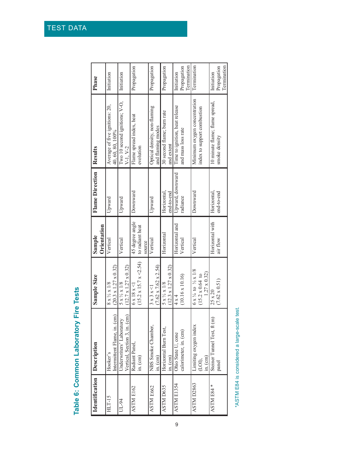| ĺ<br>ׇ֘֒<br>ī |
|---------------|
| ĺ             |
| ĺ             |

| <b>Identification Description</b> |                               | Sample Size                                | Sample          | <b>Flame Direction</b> | Results                        | Phase                      |
|-----------------------------------|-------------------------------|--------------------------------------------|-----------------|------------------------|--------------------------------|----------------------------|
|                                   |                               |                                            | Orientation     |                        |                                |                            |
| HLT-15                            | Hooker's                      | $8 \times \frac{1}{2} \times 1/8$          | Vertical        | Upward                 | Average of five ignitions: 20, | Initiation                 |
|                                   | Intermittent Flame, in. (cm)  | $(20.3 \times 1.27 \times 0.32)$           |                 |                        | 40, 60, 80, 100%               |                            |
| UL-94                             | Underwriters' Laboratory      | $5 \times \frac{1}{2} \times 1/8$          | Vertical        | Upward                 | Two 10 second ignitions; V-O,  | Initiation                 |
|                                   | Vertical, Section 3, in. (cm) | $(12.7 \times 1.27 \times 0.32)$           |                 |                        | $V-1, V-2$                     |                            |
| ASTM E162                         | Radiant Panel,                | $6 \times 18 \times 1$                     | 45 degree angle | Downward               | Flame spread index, heat       | Propagation                |
|                                   | $\sin(\text{cm})$             | $(15.2 \times 15.7 \times 2.54)$           | to radiant heat |                        | evolution                      |                            |
|                                   |                               |                                            | source          |                        |                                |                            |
| ASTM E662                         | NBS Smoke Chamber,            | $3 \times 3 \times 1$                      | Vertical        | Upward                 | Optical density, non-flaming   | Propagation                |
|                                   | $m_{\cdot}$ (cm)              | $(7.62 \times 7.62 \times 2.54)$           |                 |                        | and flaming modes              |                            |
| <b>ASTM D635</b>                  | Horizontal Burn Test,         | $5 \times \frac{1}{2} \times 1/8$          | Horizontal      | Horizontal,            | 30 second flame; burn rate     | Propagation                |
|                                   | in (cm)                       | $(12.3 \times 1.27 \times 0.32)$           |                 | end-to-end             | and extent                     |                            |
| ASTM E1354                        | Ohio State U, cone            | $4 \times 4$                               | Horizontal and  | Upward, downward       | Time to ignition, heat release | Initiation                 |
|                                   | calorimeter, in. (cm)         | $(10.16 \times 10.16)$                     | Vertical        | radiance               | and mass loss rate             | Propagation                |
|                                   |                               |                                            |                 |                        |                                | <b>Termination</b>         |
| ASTM D2863                        | Limiting oxygen index         | $6 x \frac{1}{4}$ to $\frac{1}{2} x 1/8$   | Vertical        | Downward               | Minimum oxygen concentration   | Termination                |
|                                   | $\ln(\text{cm})$<br>(LOI),    | $1.27 \times 0.32$<br>$(15.2 \times 0.64)$ |                 |                        | index to support combustion    |                            |
| ASTM E84*                         | Steiner Tunnel Test, ft (m)   | $25 \times 20$                             | Horizontal with | Horizontal.            | 10 minute flame; flame spread, | Initiation                 |
|                                   | panel                         | $(7.62 \times 0.51)$                       | air flow        | end-to-end             | smoke density                  | Termination<br>Propagation |

\*ASTM E84 is considered a large-scale test. \*ASTM E84 is considered a large-scale test.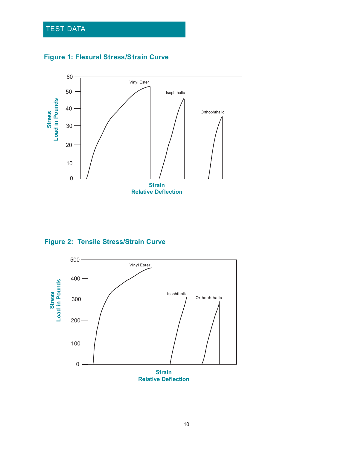## TEST DATA





**Figure 2: Tensile Stress/Strain Curve**

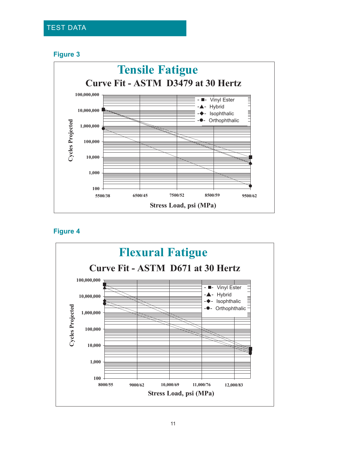#### **Figure 3**



**Figure 4**

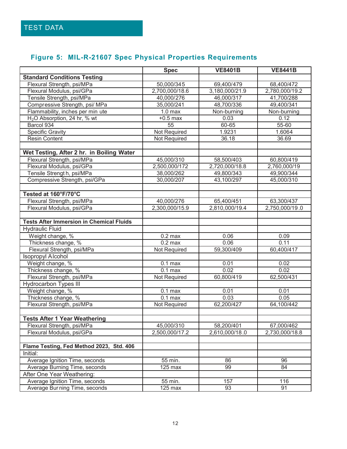## **Figure 5: MIL-R-21607 Spec Physical Properties Requirements**

|                                                 | <b>Spec</b>    | <b>VE8401B</b> | <b>VE8441B</b> |
|-------------------------------------------------|----------------|----------------|----------------|
| <b>Standard Conditions Testing</b>              |                |                |                |
| Flexural Strength, psi/MPa                      | 50,000/345     | 69,400/479     | 68,400/472     |
| Flexural Modulus, psi/GPa                       | 2,700,000/18.6 | 3,180,000/21.9 | 2,780,000/19.2 |
| Tensile Strength, psi/MPa                       | 40,000/276     | 46,000/317     | 41,700/288     |
| Compressive Strength, psi/ MPa                  | 35,000/241     | 48,700/336     | 49,400/341     |
| Flammability, inches per min ute                | $1.0$ max      | Non-burning    | Non-burning    |
| H <sub>2</sub> O Absorption, 24 hr, % wt        | $+0.5$ max     | 0.03           | 0.12           |
| Barcol 934                                      | 55             | 60-65          | 55-60          |
| <b>Specific Gravity</b>                         | Not Required   | 1.9231         | 1.6064         |
| <b>Resin Content</b>                            | Not Required   | 36.18          | 36.69          |
|                                                 |                |                |                |
| Wet Testing, After 2 hr. in Boiling Water       |                |                |                |
| Flexural Strength, psi/MPa                      | 45,000/310     | 58,500/403     | 60,800/419     |
| Flexural Modulus, psi/GPa                       | 2,500,000/172  | 2,720,000/18.8 | 2,760,000/19   |
| Tensile Strengt h, psi/MPa                      | 38,000/262     | 49,800/343     | 49,900/344     |
| Compressive Strength, psi/GPa                   | 30,000/207     | 43,100/297     | 45,000/310     |
|                                                 |                |                |                |
| Tested at 160°F/70°C                            |                |                |                |
| Flexural Strength, psi/MPa                      | 40,000/276     | 65,400/451     | 63,300/437     |
| Flexural Modulus, psi/GPa                       | 2,300,000/15.9 | 2,810,000/19.4 | 2,750,000/19.0 |
|                                                 |                |                |                |
| <b>Tests After Immersion in Chemical Fluids</b> |                |                |                |
| <b>Hydraulic Fluid</b>                          |                |                |                |
| Weight change, %                                | $0.2$ max      | 0.06           | 0.09           |
| Thickness change, %                             | $0.2$ max      | 0.06           | 0.11           |
| Flexural Strength, psi/MPa                      | Not Required   | 59,300/409     | 60,400/417     |
| <b>Isopropyl Alcohol</b>                        |                |                |                |
| Weight change, %                                | $0.1$ max      | 0.01           | 0.02           |
| Thickness change, %                             | $0.1$ max      | 0.02           | 0.02           |
| Flexural Strength, psi/MPa                      | Not Required   | 60,800/419     | 62,500/431     |
| <b>Hydrocarbon Types III</b>                    |                |                |                |
| Weight change, %                                | $0.1$ max      | 0.01           | 0.01           |
| Thickness change, %                             | $0.1$ max      | 0.03           | 0.05           |
| Flexural Strength, psi/MPa                      | Not Required   | 62,200/427     | 64,100/442     |
|                                                 |                |                |                |
| <b>Tests After 1 Year Weathering</b>            |                |                |                |
| Flexural Strength, psi/MPa                      | 45,000/310     | 58,200/401     | 67,000/462     |
| Flexural Modulus, psi/GPa                       | 2,500,000/17.2 | 2,610,000/18.0 | 2,730,000/18.8 |
|                                                 |                |                |                |
| Flame Testing, Fed Method 2023, Std. 406        |                |                |                |
| Initial:                                        |                |                |                |
| Average Ignition Time, seconds                  | 55 min.        | 86             | 96             |
| Average Burning Time, seconds                   | $125$ max      | 99             | 84             |
| After One Year Weathering:                      |                |                |                |
| Average Ignition Time, seconds                  | 55 min.        | 157            | 116            |
| Average Burning Time, seconds                   | $125$ max      | 93             | 91             |